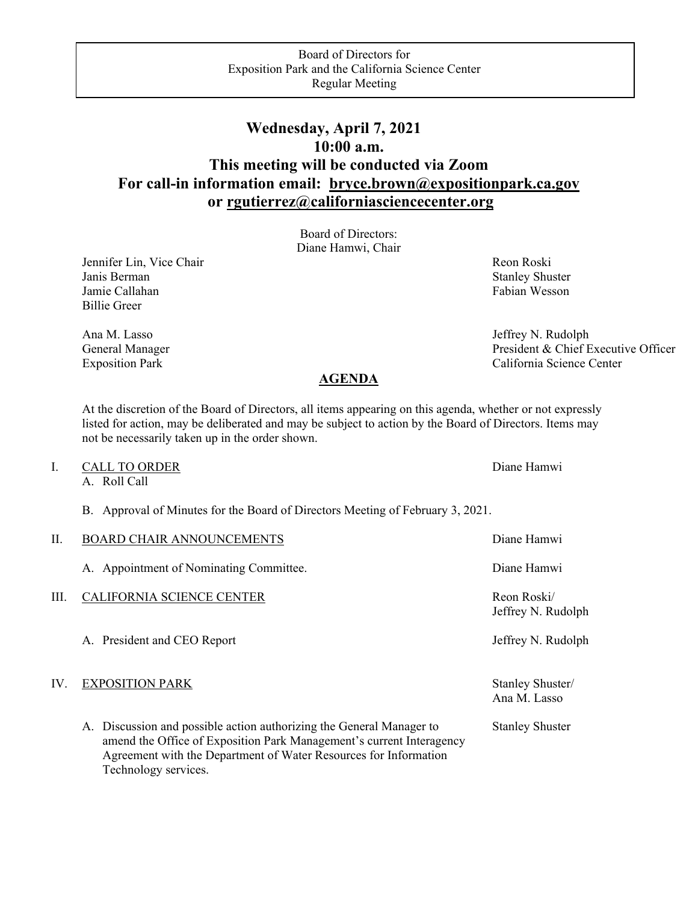## **Wednesday, April 7, 2021 10:00 a.m. This meeting will be conducted via Zoom For call-in information email: [bryce.brown@expositionpark.ca.gov](mailto:bryce.brown@expositionpark.ca.gov) or [rgutierrez@californiasciencecenter.org](mailto:rgutierrez@californiasciencecenter.org)**

Board of Directors: Diane Hamwi, Chair

Jennifer Lin, Vice Chair Revenue and The Reon Roski Janis Berman Stanley Shuster Stanley Shuster Jamie Callahan Fabian Wesson Estadiscus et al. 1991 als est al. 1992 als est al. 1993 als est al. 1993 als est a Billie Greer

Ana M. Lasso Jeffrey N. Rudolph General Manager President & Chief Executive Officer Exposition Park California Science Center

## **AGENDA**

At the discretion of the Board of Directors, all items appearing on this agenda, whether or not expressly listed for action, may be deliberated and may be subject to action by the Board of Directors. Items may not be necessarily taken up in the order shown.

## I. CALL TO ORDER Diane Hamwi

A. Roll Call

B. Approval of Minutes for the Board of Directors Meeting of February 3, 2021.

| П.   | <b>BOARD CHAIR ANNOUNCEMENTS</b>                                                                                                                                                                                                         | Diane Hamwi                       |
|------|------------------------------------------------------------------------------------------------------------------------------------------------------------------------------------------------------------------------------------------|-----------------------------------|
|      | A. Appointment of Nominating Committee.                                                                                                                                                                                                  | Diane Hamwi                       |
| III. | CALIFORNIA SCIENCE CENTER                                                                                                                                                                                                                | Reon Roski/<br>Jeffrey N. Rudolph |
|      | A. President and CEO Report                                                                                                                                                                                                              | Jeffrey N. Rudolph                |
| IV.  | <b>EXPOSITION PARK</b>                                                                                                                                                                                                                   | Stanley Shuster/<br>Ana M. Lasso  |
|      | A. Discussion and possible action authorizing the General Manager to<br>amend the Office of Exposition Park Management's current Interagency<br>Agreement with the Department of Water Resources for Information<br>Technology services. | <b>Stanley Shuster</b>            |